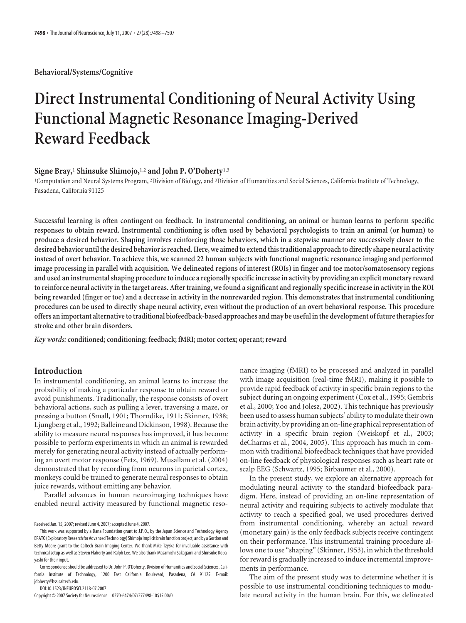**Behavioral/Systems/Cognitive**

# **Direct Instrumental Conditioning of Neural Activity Using Functional Magnetic Resonance Imaging-Derived Reward Feedback**

## **Signe Bray,**<sup>1</sup> **Shinsuke Shimojo,**1,2 **and John P. O'Doherty**1,3

<sup>1</sup>Computation and Neural Systems Program, <sup>2</sup>Division of Biology, and <sup>3</sup>Division of Humanities and Social Sciences, California Institute of Technology, Pasadena, California 91125

**Successful learning is often contingent on feedback. In instrumental conditioning, an animal or human learns to perform specific responses to obtain reward. Instrumental conditioning is often used by behavioral psychologists to train an animal (or human) to produce a desired behavior. Shaping involves reinforcing those behaviors, which in a stepwise manner are successively closer to the desired behavior untilthe desired behavior is reached. Here, we aimedto extendthistraditional approachto directly shape neural activity instead of overt behavior. To achieve this, we scanned 22 human subjects with functional magnetic resonance imaging and performed image processing in parallel with acquisition. We delineated regions of interest (ROIs) in finger and toe motor/somatosensory regions and used an instrumental shaping procedure to induce a regionally specific increase in activity by providing an explicit monetary reward to reinforce neural activity in the target areas. After training, we found a significant and regionally specific increase in activity in the ROI being rewarded (finger or toe) and a decrease in activity in the nonrewarded region. This demonstrates that instrumental conditioning procedures can be used to directly shape neural activity, even without the production of an overt behavioral response. This procedure** offers an important alternative to traditional biofeedback-based approaches and may be useful in the development of future therapies for **stroke and other brain disorders.**

*Key words:***conditioned; conditioning; feedback; fMRI; motor cortex; operant; reward**

# **Introduction**

In instrumental conditioning, an animal learns to increase the probability of making a particular response to obtain reward or avoid punishments. Traditionally, the response consists of overt behavioral actions, such as pulling a lever, traversing a maze, or pressing a button (Small, 1901; Thorndike, 1911; Skinner, 1938; Ljungberg et al., 1992; Balleine and Dickinson, 1998). Because the ability to measure neural responses has improved, it has become possible to perform experiments in which an animal is rewarded merely for generating neural activity instead of actually performing an overt motor response (Fetz, 1969). Musallam et al. (2004) demonstrated that by recording from neurons in parietal cortex, monkeys could be trained to generate neural responses to obtain juice rewards, without emitting any behavior.

Parallel advances in human neuroimaging techniques have enabled neural activity measured by functional magnetic reso-

DOI:10.1523/JNEUROSCI.2118-07.2007

Copyright © 2007 Society for Neuroscience 0270-6474/07/277498-10\$15.00/0

nance imaging (fMRI) to be processed and analyzed in parallel with image acquisition (real-time fMRI), making it possible to provide rapid feedback of activity in specific brain regions to the subject during an ongoing experiment (Cox et al., 1995; Gembris et al., 2000; Yoo and Jolesz, 2002). This technique has previously been used to assess human subjects' ability to modulate their own brain activity, by providing an on-line graphical representation of activity in a specific brain region (Weiskopf et al., 2003; deCharms et al., 2004, 2005). This approach has much in common with traditional biofeedback techniques that have provided on-line feedback of physiological responses such as heart rate or scalp EEG (Schwartz, 1995; Birbaumer et al., 2000).

In the present study, we explore an alternative approach for modulating neural activity to the standard biofeedback paradigm. Here, instead of providing an on-line representation of neural activity and requiring subjects to actively modulate that activity to reach a specified goal, we used procedures derived from instrumental conditioning, whereby an actual reward (monetary gain) is the only feedback subjects receive contingent on their performance. This instrumental training procedure allows one to use "shaping" (Skinner, 1953), in which the threshold for reward is gradually increased to induce incremental improvements in performance.

The aim of the present study was to determine whether it is possible to use instrumental conditioning techniques to modulate neural activity in the human brain. For this, we delineated

Received Jan. 15, 2007; revised June 4, 2007; accepted June 4, 2007.

This work was supported by a Dana Foundation grant to J.P.O., by the Japan Science and Technology Agency ERATO (Exploratory Research for Advanced Technology) Shimojo Implicit brain function project, and by a Gordon and Betty Moore grant to the Caltech Brain Imaging Center. We thank Mike Tzyska for invaluable assistance with technical setup as well as Steven Flaherty and Ralph Lee. We also thank Masamichi Sakagami and Shinsuke Kobayashi for their input.

Correspondence should be addressed to Dr. John P. O'Doherty, Division of Humanities and Social Sciences, California Institute of Technology, 1200 East California Boulevard, Pasadena, CA 91125. E-mail: jdoherty@hss.caltech.edu.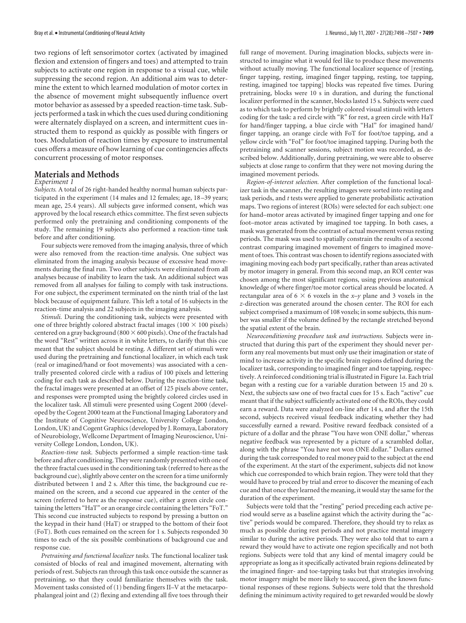two regions of left sensorimotor cortex (activated by imagined flexion and extension of fingers and toes) and attempted to train subjects to activate one region in response to a visual cue, while suppressing the second region. An additional aim was to determine the extent to which learned modulation of motor cortex in the absence of movement might subsequently influence overt motor behavior as assessed by a speeded reaction-time task. Subjects performed a task in which the cues used during conditioning were alternately displayed on a screen, and intermittent cues instructed them to respond as quickly as possible with fingers or toes. Modulation of reaction times by exposure to instrumental cues offers a measure of how learning of cue contingencies affects concurrent processing of motor responses.

## **Materials and Methods**

### *Experiment 1*

*Subjects.* A total of 26 right-handed healthy normal human subjects participated in the experiment (14 males and 12 females; age, 18 –39 years; mean age, 25.4 years). All subjects gave informed consent, which was approved by the local research ethics committee. The first seven subjects performed only the pretraining and conditioning components of the study. The remaining 19 subjects also performed a reaction-time task before and after conditioning.

Four subjects were removed from the imaging analysis, three of which were also removed from the reaction-time analysis. One subject was eliminated from the imaging analysis because of excessive head movements during the final run. Two other subjects were eliminated from all analyses because of inability to learn the task. An additional subject was removed from all analyses for failing to comply with task instructions. For one subject, the experiment terminated on the ninth trial of the last block because of equipment failure. This left a total of 16 subjects in the reaction-time analysis and 22 subjects in the imaging analysis.

*Stimuli.* During the conditioning task, subjects were presented with one of three brightly colored abstract fractal images (100  $\times$  100 pixels) centered on a gray background (800  $\times$  600 pixels). One of the fractals had the word "Rest" written across it in white letters, to clarify that this cue meant that the subject should be resting. A different set of stimuli were used during the pretraining and functional localizer, in which each task (real or imagined/hand or foot movements) was associated with a centrally presented colored circle with a radius of 100 pixels and lettering coding for each task as described below. During the reaction-time task, the fractal images were presented at an offset of 125 pixels above center, and responses were prompted using the brightly colored circles used in the localizer task. All stimuli were presented using Cogent 2000 (developed by the Cogent 2000 team at the Functional Imaging Laboratory and the Institute of Cognitive Neuroscience, University College London, London, UK) and Cogent Graphics (developed by J. Romaya, Laboratory of Neurobiology, Wellcome Department of Imaging Neuroscience, University College London, London, UK).

*Reaction-time task.* Subjects performed a simple reaction-time task before and after conditioning. They were randomly presented with one of the three fractal cues used in the conditioning task (referred to here as the background cue), slightly above center on the screen for a time uniformly distributed between 1 and 2 s. After this time, the background cue remained on the screen, and a second cue appeared in the center of the screen (referred to here as the response cue), either a green circle containing the letters "HaT" or an orange circle containing the letters "FoT." This second cue instructed subjects to respond by pressing a button on the keypad in their hand (HaT) or strapped to the bottom of their foot (FoT). Both cues remained on the screen for 1 s. Subjects responded 30 times to each of the six possible combinations of background cue and response cue.

*Pretraining and functional localizer tasks.* The functional localizer task consisted of blocks of real and imagined movement, alternating with periods of rest. Subjects ran through this task once outside the scanner as pretraining, so that they could familiarize themselves with the task. Movement tasks consisted of (1) bending fingers II–V at the metacarpophalangeal joint and (2) flexing and extending all five toes through their

full range of movement. During imagination blocks, subjects were instructed to imagine what it would feel like to produce these movements without actually moving. The functional localizer sequence of [resting, finger tapping, resting, imagined finger tapping, resting, toe tapping, resting, imagined toe tapping] blocks was repeated five times. During pretraining, blocks were 10 s in duration, and during the functional localizer performed in the scanner, blocks lasted 15 s. Subjects were cued as to which task to perform by brightly colored visual stimuli with letters coding for the task: a red circle with "R" for rest, a green circle with HaT for hand/finger tapping, a blue circle with "HaI" for imagined hand/ finger tapping, an orange circle with FoT for foot/toe tapping, and a yellow circle with "FoI" for foot/toe imagined tapping. During both the pretraining and scanner sessions, subject motion was recorded, as described below. Additionally, during pretraining, we were able to observe subjects at close range to confirm that they were not moving during the imagined movement periods.

*Region-of-interest selection.* After completion of the functional localizer task in the scanner, the resulting images were sorted into resting and task periods, and *t* tests were applied to generate probabilistic activation maps. Two regions of interest (ROIs) were selected for each subject: one for hand–motor areas activated by imagined finger tapping and one for foot–motor areas activated by imagined toe tapping. In both cases, a mask was generated from the contrast of actual movement versus resting periods. The mask was used to spatially constrain the results of a second contrast comparing imagined movement of fingers to imagined movement of toes. This contrast was chosen to identify regions associated with imagining moving each body part specifically, rather than areas activated by motor imagery in general. From this second map, an ROI center was chosen among the most significant regions, using previous anatomical knowledge of where finger/toe motor cortical areas should be located. A rectangular area of  $6 \times 6$  voxels in the *x*–*y* plane and 3 voxels in the *z*-direction was generated around the chosen center. The ROI for each subject comprised a maximum of 108 voxels; in some subjects, this number was smaller if the volume defined by the rectangle stretched beyond the spatial extent of the brain.

*Neuroconditioning procedure task and instructions.* Subjects were instructed that during this part of the experiment they should never perform any real movements but must only use their imagination or state of mind to increase activity in the specific brain regions defined during the localizer task, corresponding to imagined finger and toe tapping, respectively. A reinforced conditioning trial is illustrated in Figure 1*a*. Each trial began with a resting cue for a variable duration between 15 and 20 s. Next, the subjects saw one of two fractal cues for 15 s. Each "active" cue meant that if the subject sufficiently activated one of the ROIs, they could earn a reward. Data were analyzed on-line after 14 s, and after the 15th second, subjects received visual feedback indicating whether they had successfully earned a reward. Positive reward feedback consisted of a picture of a dollar and the phrase "You have won ONE dollar," whereas negative feedback was represented by a picture of a scrambled dollar, along with the phrase "You have not won ONE dollar." Dollars earned during the task corresponded to real money paid to the subject at the end of the experiment. At the start of the experiment, subjects did not know which cue corresponded to which brain region. They were told that they would have to proceed by trial and error to discover the meaning of each cue and that once they learned the meaning, it would stay the same for the duration of the experiment.

Subjects were told that the "resting" period preceding each active period would serve as a baseline against which the activity during the "active" periods would be compared. Therefore, they should try to relax as much as possible during rest periods and not practice mental imagery similar to during the active periods. They were also told that to earn a reward they would have to activate one region specifically and not both regions. Subjects were told that any kind of mental imagery could be appropriate as long as it specifically activated brain regions delineated by the imagined finger- and toe-tapping tasks but that strategies involving motor imagery might be more likely to succeed, given the known functional responses of these regions. Subjects were told that the threshold defining the minimum activity required to get rewarded would be slowly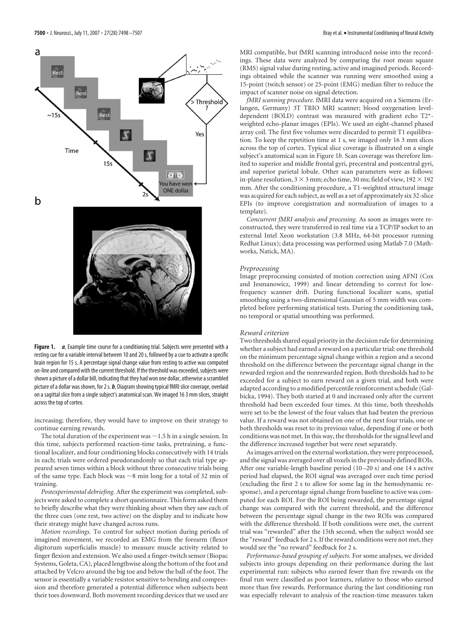

**Figure 1.** *a*, Example time course for a conditioning trial. Subjects were presented with a resting cue for a variable interval between 10 and 20 s, followed by a cue to activate a specific brain region for 15 s. A percentage signal change value from resting to active was computed on-line and compared with the current threshold. If the threshold was exceeded, subjects were shown a picture of a dollar bill, indicating that they had won one dollar, otherwise a scrambled picture of a dollar was shown, for 2 s. *b*, Diagram showing typical fMRI slice coverage, overlaid on a sagittal slice from a single subject's anatomical scan. We imaged 16 3 mm slices, straight across the top of cortex.

increasing; therefore, they would have to improve on their strategy to continue earning rewards.

The total duration of the experiment was  $\sim$  1.5 h in a single session. In this time, subjects performed reaction-time tasks, pretraining, a functional localizer, and four conditioning blocks consecutively with 14 trials in each; trials were ordered pseudorandomly so that each trial type appeared seven times within a block without three consecutive trials being of the same type. Each block was  $\sim$ 8 min long for a total of 32 min of training.

*Postexperimental debriefing.* After the experiment was completed, subjects were asked to complete a short questionnaire. This form asked them to briefly describe what they were thinking about when they saw each of the three cues (one rest, two active) on the display and to indicate how their strategy might have changed across runs.

*Motion recordings.* To control for subject motion during periods of imagined movement, we recorded an EMG from the forearm (flexor digitorum superficialis muscle) to measure muscle activity related to finger flexion and extension. We also used a finger-twitch sensor (Biopac Systems, Goleta, CA), placed lengthwise along the bottom of the foot and attached by Velcro around the big toe and below the ball of the foot. The sensor is essentially a variable resistor sensitive to bending and compression and therefore generated a potential difference when subjects bent their toes downward. Both movement recording devices that we used are

MRI compatible, but fMRI scanning introduced noise into the recordings. These data were analyzed by comparing the root mean square (RMS) signal value during resting, active and imagined periods. Recordings obtained while the scanner was running were smoothed using a 15-point (twitch sensor) or 25-point (EMG) median filter to reduce the impact of scanner noise on signal detection.

*fMRI scanning procedure.* fMRI data were acquired on a Siemens (Erlangen, Germany) 3T TRIO MRI scanner; blood oxygenation leveldependent (BOLD) contrast was measured with gradient echo T2\* weighted echo-planar images (EPIs). We used an eight-channel phased array coil. The first five volumes were discarded to permit T1 equilibration. To keep the repetition time at 1 s, we imaged only 16 3 mm slices across the top of cortex. Typical slice coverage is illustrated on a single subject's anatomical scan in Figure 1*b*. Scan coverage was therefore limited to superior and middle frontal gyri, precentral and postcentral gyri, and superior parietal lobule. Other scan parameters were as follows: in-plane resolution, 3  $\times$  3 mm; echo time, 30 ms; field of view, 192  $\times$  192 mm. After the conditioning procedure, a T1-weighted structural image was acquired for each subject, as well as a set of approximately six 32-slice EPIs (to improve coregistration and normalization of images to a template).

*Concurrent fMRI analysis and processing.* As soon as images were reconstructed, they were transferred in real time via a TCP/IP socket to an external Intel Xeon workstation (3.8 MHz, 64-bit processor running Redhat Linux); data processing was performed using Matlab 7.0 (Mathworks, Natick, MA).

## *Preprocessing*

Image preprocessing consisted of motion correction using AFNI (Cox and Jesmanowicz, 1999) and linear detrending to correct for lowfrequency scanner drift. During functional localizer scans, spatial smoothing using a two-dimensional Gaussian of 5 mm width was completed before performing statistical tests. During the conditioning task, no temporal or spatial smoothing was performed.

### *Reward criterion*

Two thresholds shared equal priority in the decision rule for determining whether a subject had earned a reward on a particular trial: one threshold on the minimum percentage signal change within a region and a second threshold on the difference between the percentage signal change in the rewarded region and the nonrewarded region. Both thresholds had to be exceeded for a subject to earn reward on a given trial, and both were adapted according to a modified percentile reinforcement schedule (Galbicka, 1994). They both started at 0 and increased only after the current threshold had been exceeded four times. At this time, both thresholds were set to be the lowest of the four values that had beaten the previous value. If a reward was not obtained on one of the next four trials, one or both thresholds was reset to its previous value, depending if one or both conditions was not met. In this way, the thresholds for the signal level and the difference increased together but were reset separately.

As images arrived on the external workstation, they were preprocessed, and the signal was averaged over all voxels in the previously defined ROIs. After one variable-length baseline period (10 –20 s) and one 14 s active period had elapsed, the ROI signal was averaged over each time period (excluding the first 2 s to allow for some lag in the hemodynamic response), and a percentage signal change from baseline to active was computed for each ROI. For the ROI being rewarded, the percentage signal change was compared with the current threshold, and the difference between the percentage signal change in the two ROIs was compared with the difference threshold. If both conditions were met, the current trial was "rewarded" after the 15th second, when the subject would see the "reward" feedback for 2 s. If the reward conditions were not met, they would see the "no reward" feedback for 2 s.

*Performance-based grouping of subjects.* For some analyses, we divided subjects into groups depending on their performance during the last experimental run: subjects who earned fewer than five rewards on the final run were classified as poor learners, relative to those who earned more than five rewards. Performance during the last conditioning run was especially relevant to analysis of the reaction-time measures taken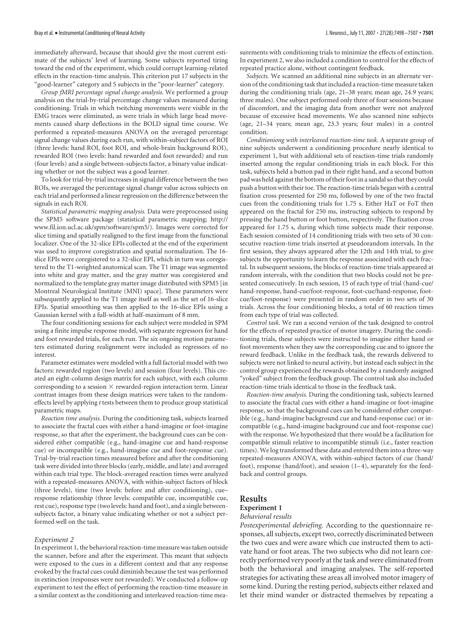immediately afterward, because that should give the most current estimate of the subjects' level of learning. Some subjects reported tiring toward the end of the experiment, which could corrupt learning-related effects in the reaction-time analysis. This criterion put 17 subjects in the "good-learner" category and 5 subjects in the "poor-learner" category.

*Group fMRI percentage signal change analysis.* We performed a group analysis on the trial-by-trial percentage change values measured during conditioning. Trials in which twitching movements were visible in the EMG traces were eliminated, as were trials in which large head movements caused sharp deflections in the BOLD signal time course. We performed a repeated-measures ANOVA on the averaged percentage signal change values during each run, with within-subject factors of ROI (three levels: hand ROI, foot ROI, and whole-brain background ROI), rewarded ROI (two levels: hand rewarded and foot rewarded) and run (four levels) and a single between-subjects factor, a binary value indicating whether or not the subject was a good learner.

To look for trial-by-trial increases in signal difference between the two ROIs, we averaged the percentage signal change value across subjects on each trial and performed a linear regression on the difference between the signals in each ROI.

*Statistical parametric mapping analysis.* Data were preprocessed using the SPM5 software package (statistical parametric mapping; http:// www.fil.ion.ucl.ac.uk/spm/software/spm5/). Images were corrected for slice timing and spatially realigned to the first image from the functional localizer. One of the 32-slice EPIs collected at the end of the experiment was used to improve coregistration and spatial normalization. The 16 slice EPIs were coregistered to a 32-slice EPI, which in turn was coregistered to the T1-weighted anatomical scan. The T1 image was segmented into white and gray matter, and the gray matter was coregistered and normalized to the template gray matter image distributed with SPM5 [in Montreal Neurological Institute (MNI) space]. These parameters were subsequently applied to the T1 image itself as well as the set of 16-slice EPIs. Spatial smoothing was then applied to the 16-slice EPIs using a Gaussian kernel with a full-width at half-maximum of 8 mm.

The four conditioning sessions for each subject were modeled in SPM using a finite impulse response model, with separate regressors for hand and foot rewarded trials, for each run. The six ongoing motion parameters estimated during realignment were included as regressors of no interest.

Parameter estimates were modeled with a full factorial model with two factors: rewarded region (two levels) and session (four levels). This created an eight-column design matrix for each subject, with each column corresponding to a session  $\times$  rewarded-region interaction term. Linear contrast images from these design matrices were taken to the randomeffects level by applying *t* tests between them to produce group statistical parametric maps.

*Reaction time analysis.* During the conditioning task, subjects learned to associate the fractal cues with either a hand-imagine or foot-imagine response, so that after the experiment, the background cues can be considered either compatible (e.g., hand-imagine cue and hand-response cue) or incompatible (e.g., hand-imagine cue and foot-response cue). Trial-by-trial reaction times measured before and after the conditioning task were divided into three blocks (early, middle, and late) and averaged within each trial type. The block-averaged reaction times were analyzed with a repeated-measures ANOVA, with within-subject factors of block (three levels), time (two levels: before and after conditioning), cue– response relationship (three levels: compatible cue, incompatible cue, rest cue), response type (two levels: hand and foot), and a single betweensubjects factor, a binary value indicating whether or not a subject performed well on the task.

## *Experiment 2*

In experiment 1, the behavioral reaction-time measure was taken outside the scanner, before and after the experiment. This meant that subjects were exposed to the cues in a different context and that any response evoked by the fractal cues could diminish because the test was performed in extinction (responses were not rewarded). We conducted a follow-up experiment to test the effect of performing the reaction-time measure in a similar context as the conditioning and interleaved reaction-time measurements with conditioning trials to minimize the effects of extinction. In experiment 2, we also included a condition to control for the effects of repeated practice alone, without contingent feedback.

*Subjects.* We scanned an additional nine subjects in an alternate version of the conditioning task that included a reaction-time measure taken during the conditioning trials (age, 21–38 years; mean age, 24.9 years; three males). One subject performed only three of four sessions because of discomfort, and the imaging data from another were not analyzed because of excessive head movements. We also scanned nine subjects (age, 21–34 years; mean age, 23.3 years; four males) in a control condition.

*Conditioniong with interleaved reaction-time task.* A separate group of nine subjects underwent a conditioning procedure nearly identical to experiment 1, but with additional sets of reaction-time trials randomly inserted among the regular conditioning trials in each block. For this task, subjects held a button pad in their right hand, and a second button pad was held against the bottom of their foot in a sandal so that they could push a button with their toe. The reaction-time trials began with a central fixation cross presented for 250 ms, followed by one of the two fractal cues from the conditioning trials for 1.75 s. Either HaT or FoT then appeared on the fractal for 250 ms, instructing subjects to respond by pressing the hand button or foot button, respectively. The fixation cross appeared for 1.75 s, during which time subjects made their response. Each session consisted of 14 conditioning trials with two sets of 30 consecutive reaction-time trials inserted at pseudorandom intervals. In the first session, they always appeared after the 12th and 14th trial, to give subjects the opportunity to learn the response associated with each fractal. In subsequent sessions, the blocks of reaction-time trials appeared at random intervals, with the condition that two blocks could not be presented consecutively. In each session, 15 of each type of trial (hand-cue/ hand-response, hand-cue/foot-response, foot-cue/hand-response, footcue/foot-response) were presented in random order in two sets of 30 trials. Across the four conditioning blocks, a total of 60 reaction times from each type of trial was collected.

*Control task.* We ran a second version of the task designed to control for the effects of repeated practice of motor imagery. During the conditioning trials, these subjects were instructed to imagine either hand or foot movements when they saw the corresponding cue and to ignore the reward feedback. Unlike in the feedback task, the rewards delivered to subjects were not linked to neural activity, but instead each subject in the control group experienced the rewards obtained by a randomly assigned "yoked" subject from the feedback group. The control task also included reaction-time trials identical to those in the feedback task.

*Reaction-time analysis.* During the conditioning task, subjects learned to associate the fractal cues with either a hand-imagine or foot-imagine response, so that the background cues can be considered either compatible (e.g., hand-imagine background cue and hand-response cue) or incompatible (e.g., hand-imagine background cue and foot-response cue) with the response. We hypothesized that there would be a facilitation for compatible stimuli relative to incompatible stimuli (i.e., faster reaction times). We log transformed these data and entered them into a three-way repeated-measures ANOVA, with within-subject factors of cue (hand/ foot), response (hand/foot), and session  $(1-4)$ , separately for the feedback and control groups.

## **Results**

# **Experiment 1**

# *Behavioral results*

*Postexperimental debriefing.* According to the questionnaire responses, all subjects, except two, correctly discriminated between the two cues and were aware which cue instructed them to activate hand or foot areas. The two subjects who did not learn correctly performed very poorly at the task and were eliminated from both the behavioral and imaging analyses. The self-reported strategies for activating these areas all involved motor imagery of some kind. During the resting period, subjects either relaxed and let their mind wander or distracted themselves by repeating a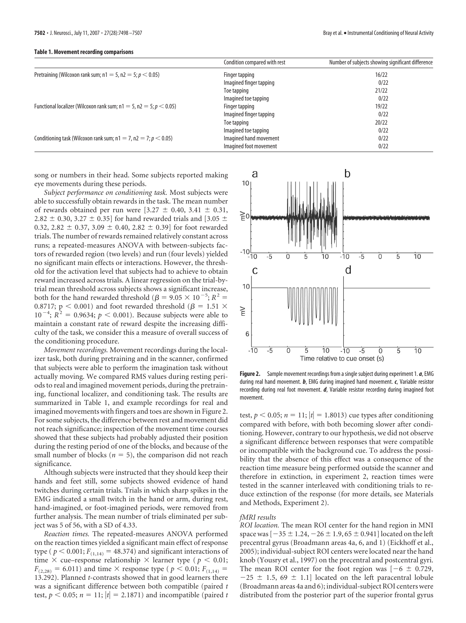#### **Table 1. Movement recording comparisons**

|                                                                             | Condition compared with rest | Number of subjects showing significant difference |
|-----------------------------------------------------------------------------|------------------------------|---------------------------------------------------|
| Pretraining (Wilcoxon rank sum; $n1 = 5$ , $n2 = 5$ ; $p < 0.05$ )          | Finger tapping               | 16/22                                             |
|                                                                             | Imagined finger tapping      | 0/22                                              |
|                                                                             | Toe tapping                  | 21/22                                             |
|                                                                             | Imagined toe tapping         | 0/22                                              |
| Functional localizer (Wilcoxon rank sum; $n1 = 5$ , $n2 = 5$ ; $p < 0.05$ ) | Finger tapping               | 19/22                                             |
|                                                                             | Imagined finger tapping      | 0/22                                              |
|                                                                             | Toe tapping                  | 20/22                                             |
|                                                                             | Imagined toe tapping         | 0/22                                              |
| Conditioning task (Wilcoxon rank sum; $n1 = 7$ , $n2 = 7$ ; $p < 0.05$ )    | Imagined hand movement       | 0/22                                              |
|                                                                             | Imagined foot movement       | 0/22                                              |

song or numbers in their head. Some subjects reported making eye movements during these periods.

*Subject performance on conditioning task.* Most subjects were able to successfully obtain rewards in the task. The mean number of rewards obtained per run were  $[3.27 \pm 0.40, 3.41 \pm 0.31,$ 2.82  $\pm$  0.30, 3.27  $\pm$  0.35] for hand rewarded trials and [3.05  $\pm$ 0.32, 2.82  $\pm$  0.37, 3.09  $\pm$  0.40, 2.82  $\pm$  0.39] for foot rewarded trials. The number of rewards remained relatively constant across runs; a repeated-measures ANOVA with between-subjects factors of rewarded region (two levels) and run (four levels) yielded no significant main effects or interactions. However, the threshold for the activation level that subjects had to achieve to obtain reward increased across trials. A linear regression on the trial-bytrial mean threshold across subjects shows a significant increase, both for the hand rewarded threshold ( $\beta = 9.05 \times 10^{-5}$ ;  $R^2 =$ 0.8717; p < 0.001) and foot rewarded threshold ( $\beta$  = 1.51  $\times$  $10^{-4}$ ;  $R^2 = 0.9634$ ;  $p < 0.001$ ). Because subjects were able to maintain a constant rate of reward despite the increasing difficulty of the task, we consider this a measure of overall success of the conditioning procedure.

*Movement recordings.* Movement recordings during the localizer task, both during pretraining and in the scanner, confirmed that subjects were able to perform the imagination task without actually moving. We compared RMS values during resting periods to real and imagined movement periods, during the pretraining, functional localizer, and conditioning task. The results are summarized in Table 1, and example recordings for real and imagined movements with fingers and toes are shown in Figure 2. For some subjects, the difference between rest and movement did not reach significance; inspection of the movement time courses showed that these subjects had probably adjusted their position during the resting period of one of the blocks, and because of the small number of blocks ( $n = 5$ ), the comparison did not reach significance.

Although subjects were instructed that they should keep their hands and feet still, some subjects showed evidence of hand twitches during certain trials. Trials in which sharp spikes in the EMG indicated a small twitch in the hand or arm, during rest, hand-imagined, or foot-imagined periods, were removed from further analysis. The mean number of trials eliminated per subject was 5 of 56, with a SD of 4.33.

*Reaction times.* The repeated-measures ANOVA performed on the reaction times yielded a significant main effect of response type ( $p < 0.001$ ;  $F_{(1,14)} = 48.374$ ) and significant interactions of time  $\times$  cue–response relationship  $\times$  learner type ( $p < 0.01$ ;  $F_{(2,28)} = 6.011$ ) and time  $\times$  response type (  $p < 0.01$ ;  $F_{(1,14)} =$ 13.292). Planned *t*-contrasts showed that in good learners there was a significant difference between both compatible (paired *t* test,  $p < 0.05$ ;  $n = 11$ ;  $|t| = 2.1871$ ) and incompatible (paired *t* 



**Figure 2.** Sample movement recordings from a single subject during experiment 1. *a*, EMG during real hand movement. *b*, EMG during imagined hand movement. *c*, Variable resistor recording during real foot movement. *d*, Variable resistor recording during imagined foot movement.

test,  $p < 0.05$ ;  $n = 11$ ;  $|t| = 1.8013$ ) cue types after conditioning compared with before, with both becoming slower after conditioning. However, contrary to our hypothesis, we did not observe a significant difference between responses that were compatible or incompatible with the background cue. To address the possibility that the absence of this effect was a consequence of the reaction time measure being performed outside the scanner and therefore in extinction, in experiment 2, reaction times were tested in the scanner interleaved with conditioning trials to reduce extinction of the response (for more details, see Materials and Methods, Experiment 2).

## *fMRI results*

*ROI location.* The mean ROI center for the hand region in MNI space was  $[-35 \pm 1.24, -26 \pm 1.9, 65 \pm 0.941]$  located on the left precentral gyrus (Broadmann areas 4a, 6, and 1) (Eickhoff et al., 2005); individual-subject ROI centers were located near the hand knob (Yousry et al., 1997) on the precentral and postcentral gyri. The mean ROI center for the foot region was  $[-6 \pm 0.729,$  $-25 \pm 1.5$ , 69  $\pm$  1.1] located on the left paracentral lobule (Broadmann areas 4a and 6); individual-subject ROI centers were distributed from the posterior part of the superior frontal gyrus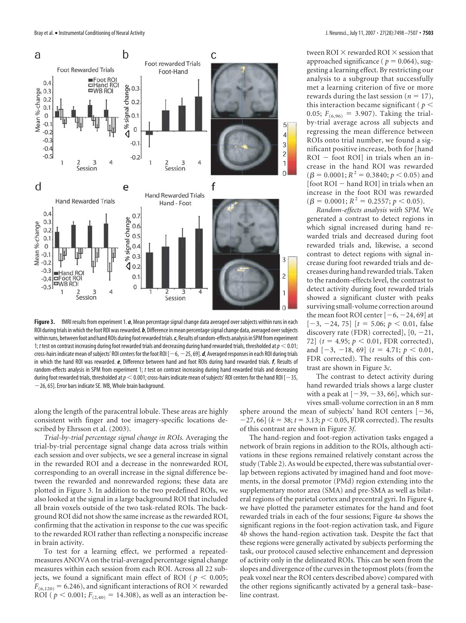

**Figure 3.** fMRI results from experiment 1. *a*, Mean percentage signal change data averaged over subjects within runs in each ROI during trials in which the foot ROI was rewarded. *b*, Difference in mean percentage signal change data, averaged over subjects within runs, between foot and hand ROIs during foot rewarded trials. *c*, Results of random-effects analysis in SPM from experiment 1; *t* test on contrast increasing during foot rewarded trials and decreasing during hand rewarded trials, thresholded at  $p < 0.01$ ; cross-hairs indicate mean of subjects' ROI centers for the foot ROI [-6, -25, 69]. *d*, Averaged responses in each ROI during trials in which the hand ROI was rewarded. *e*, Difference between hand and foot ROIs during hand rewarded trials. *f*, Results of random-effects analysis in SPM from experiment 1; *t* test on contrast increasing during hand rewarded trials and decreasing during foot rewarded trials, thresholded at  $p < 0.001$ ; cross-hairs indicate mean of subjects' ROI centers for the hand ROI [ $-35$ ,  $-26$ , 65]. Error bars indicate SE. WB, Whole brain background.

along the length of the paracentral lobule. These areas are highly consistent with finger and toe imagery-specific locations described by Ehrsson et al. (2003).

*Trial-by-trial percentage signal change in ROIs.* Averaging the trial-by-trial percentage signal change data across trials within each session and over subjects, we see a general increase in signal in the rewarded ROI and a decrease in the nonrewarded ROI, corresponding to an overall increase in the signal difference between the rewarded and nonrewarded regions; these data are plotted in Figure 3. In addition to the two predefined ROIs, we also looked at the signal in a large background ROI that included all brain voxels outside of the two task-related ROIs. The background ROI did not show the same increase as the rewarded ROI, confirming that the activation in response to the cue was specific to the rewarded ROI rather than reflecting a nonspecific increase in brain activity.

To test for a learning effect, we performed a repeatedmeasures ANOVA on the trial-averaged percentage signal change measures within each session from each ROI. Across all 22 subjects, we found a significant main effect of ROI ( $p < 0.005$ ;  $F_{(6,120)} = 6.246$ , and significant interactions of ROI  $\times$  rewarded ROI ( $p < 0.001$ ;  $F_{(2,40)} = 14.308$ ), as well as an interaction between ROI  $\times$  rewarded ROI  $\times$  session that approached significance ( $p = 0.064$ ), suggesting a learning effect. By restricting our analysis to a subgroup that successfully met a learning criterion of five or more rewards during the last session ( $n = 17$ ), this interaction became significant ( $p <$ 0.05;  $F_{(6,96)} = 3.907$ ). Taking the trialby-trial average across all subjects and regressing the mean difference between ROIs onto trial number, we found a significant positive increase, both for [hand  $ROI - foot ROI$  in trials when an increase in the hand ROI was rewarded  $(\beta = 0.0001; R^2 = 0.3840; p < 0.05)$  and [foot ROI - hand ROI] in trials when an increase in the foot ROI was rewarded  $(\beta = 0.0001; R^2 = 0.2557; p < 0.05).$ 

*Random-effects analysis with SPM.* We generated a contrast to detect regions in which signal increased during hand rewarded trials and decreased during foot rewarded trials and, likewise, a second contrast to detect regions with signal increase during foot rewarded trials and decreases during hand rewarded trials. Taken to the random-effects level, the contrast to detect activity during foot rewarded trials showed a significant cluster with peaks surviving small-volume correction around the mean foot ROI center  $[-6, -24, 69]$  at  $[-3, -24, 75]$   $[t = 5.06; p < 0.01, false]$ discovery rate (FDR) corrected],  $[0, -21,$ 72]  $(t = 4.95; p < 0.01, FDR corrected)$ , and  $[-3, -18, 69]$  ( $t = 4.71; p < 0.01$ , FDR corrected). The results of this contrast are shown in Figure 3*c*.

The contrast to detect activity during hand rewarded trials shows a large cluster with a peak at  $[-39, -33, 66]$ , which survives small-volume correction in an 8 mm

sphere around the mean of subjects' hand ROI centers  $[-36,$  $-27, 66$ ] ( $k = 38$ ;  $t = 3.13$ ;  $p < 0.05$ , FDR corrected). The results of this contrast are shown in Figure 3*f*.

The hand-region and foot-region activation tasks engaged a network of brain regions in addition to the ROIs, although activations in these regions remained relatively constant across the study (Table 2). As would be expected, there was substantial overlap between regions activated by imagined hand and foot movements, in the dorsal premotor (PMd) region extending into the supplementary motor area (SMA) and pre-SMA as well as bilateral regions of the parietal cortex and precentral gyri. In Figure 4, we have plotted the parameter estimates for the hand and foot rewarded trials in each of the four sessions; Figure 4*a* shows the significant regions in the foot-region activation task, and Figure 4*b* shows the hand-region activation task. Despite the fact that these regions were generally activated by subjects performing the task, our protocol caused selective enhancement and depression of activity only in the delineated ROIs. This can be seen from the slopes and divergence of the curves in the topmost plots (from the peak voxel near the ROI centers described above) compared with the other regions significantly activated by a general task– baseline contrast.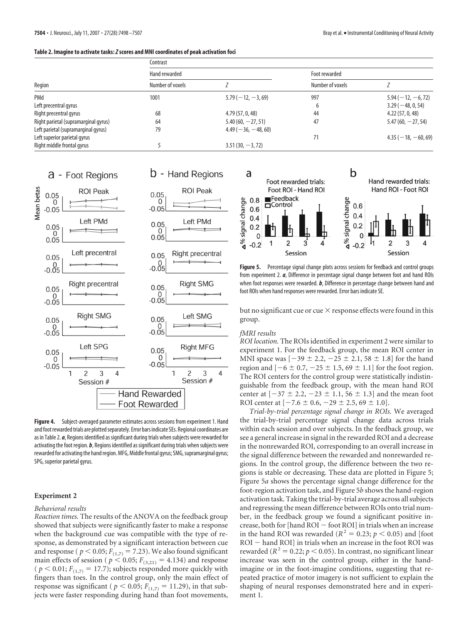| Table 2. Imagine to activate tasks: Z scores and MNI coordinates of peak activation foci |  |  |  |
|------------------------------------------------------------------------------------------|--|--|--|
|                                                                                          |  |  |  |

| Region                               | Contrast         |                      |                  |                      |  |
|--------------------------------------|------------------|----------------------|------------------|----------------------|--|
|                                      | Hand rewarded    |                      | Foot rewarded    |                      |  |
|                                      | Number of voxels |                      | Number of voxels |                      |  |
| PMd                                  | 1001             | $5.79(-12,-3,69)$    | 997              | $5.94(-12,-6,72)$    |  |
| Left precentral gyrus                |                  |                      | b                | $3.29(-48, 0, 54)$   |  |
| Right precentral gyrus               | 68               | 4.79(57, 0, 48)      | 44               | 4.22(57, 0, 48)      |  |
| Right parietal (supramarginal gyrus) | 64               | $5.40(60, -27, 51)$  | 47               | $5.47(60, -27, 54)$  |  |
| Left parietal (supramarginal gyrus)  | 79               | $4.49(-36, -48, 60)$ |                  |                      |  |
| Left superior parietal gyrus         |                  |                      | 71               | $4.35(-18, -60, 69)$ |  |
| Right middle frontal gyrus           |                  | $3.51(30, -3, 72)$   |                  |                      |  |



**Figure 4.** Subject-averaged parameter estimates across sessions from experiment 1. Hand and foot rewarded trials are plotted separately. Error bars indicate SEs. Regional coordinates are as in Table 2. *a*, Regions identified as significant during trials when subjects were rewarded for activating the foot region. *b*, Regions identified as significant during trials when subjects were rewarded for activating the hand region. MFG, Middle frontal gyrus; SMG, supramarginal gyrus; SPG, superior parietal gyrus.

# **Experiment 2**

## *Behavioral results*

*Reaction times.* The results of the ANOVA on the feedback group showed that subjects were significantly faster to make a response when the background cue was compatible with the type of response, as demonstrated by a significant interaction between cue and response (  $p < 0.05; F_{(1,7)} = 7.23$  ). We also found significant main effects of session ( $p < 0.05$ ;  $F_{(3,21)} = 4.134$ ) and response ( $p < 0.01; F<sub>(1,7)</sub> = 17.7$ ); subjects responded more quickly with fingers than toes. In the control group, only the main effect of response was significant ( $p < 0.05$ ;  $F_{(1,7)} = 11.29$ ), in that subjects were faster responding during hand than foot movements,



**Figure 5.** Percentage signal change plots across sessions for feedback and control groups from experiment 2. *a*, Difference in percentage signal change between foot and hand ROIs when foot responses were rewarded. *b*, Difference in percentage change between hand and foot ROIs when hand responses were rewarded. Error bars indicate SE.

but no significant cue or cue  $\times$  response effects were found in this group.

#### *fMRI results*

*ROI location.* The ROIs identified in experiment 2 were similar to experiment 1. For the feedback group, the mean ROI center in MNI space was  $[-39 \pm 2.2, -25 \pm 2.1, 58 \pm 1.8]$  for the hand region and  $[-6 \pm 0.7, -25 \pm 1.5, 69 \pm 1.1]$  for the foot region. The ROI centers for the control group were statistically indistinguishable from the feedback group, with the mean hand ROI center at  $[-37 \pm 2.2, -23 \pm 1.1, 56 \pm 1.3]$  and the mean foot ROI center at  $[-7.6 \pm 0.6, -29 \pm 2.5, 69 \pm 1.0]$ .

*Trial-by-trial percentage signal change in ROIs.* We averaged the trial-by-trial percentage signal change data across trials within each session and over subjects. In the feedback group, we see a general increase in signal in the rewarded ROI and a decrease in the nonrewarded ROI, corresponding to an overall increase in the signal difference between the rewarded and nonrewarded regions. In the control group, the difference between the two regions is stable or decreasing. These data are plotted in Figure 5; Figure 5*a* shows the percentage signal change difference for the foot-region activation task, and Figure 5*b* shows the hand-region activation task. Taking the trial-by-trial average across all subjects and regressing the mean difference between ROIs onto trial number, in the feedback group we found a significant positive increase, both for [hand  $ROI - foot ROI$ ] in trials when an increase in the hand ROI was rewarded ( $R^2 = 0.23$ ;  $p < 0.05$ ) and [foot  $ROI - hand ROI$ ] in trials when an increase in the foot ROI was rewarded ( $R^2 = 0.22$ ;  $p < 0.05$ ). In contrast, no significant linear increase was seen in the control group, either in the handimagine or in the foot-imagine conditions, suggesting that repeated practice of motor imagery is not sufficient to explain the shaping of neural responses demonstrated here and in experiment 1.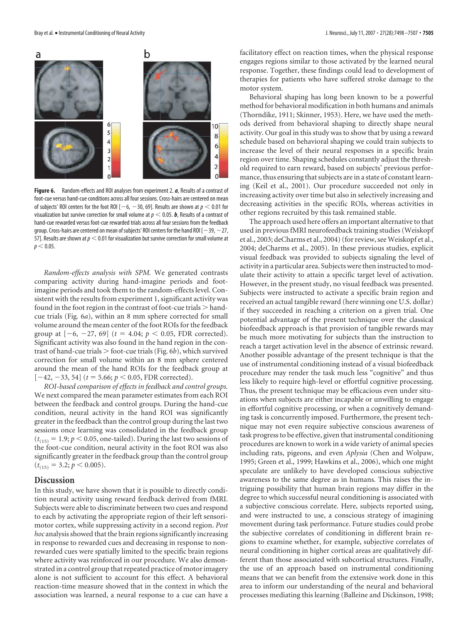

**Figure 6.** Random-effects and ROI analyses from experiment 2. *a*, Results of a contrast of foot-cue versus hand-cue conditions across all four sessions. Cross-hairs are centered on mean of subjects' ROI centers for the foot ROI  $[-6, -30, 69]$ . Results are shown at  $p < 0.01$  for visualization but survive correction for small volume at  $p < 0.05$ . **b**, Results of a contrast of hand-cue rewarded versus foot-cue rewarded trials across all four sessions from the feedback group. Cross-hairs are centered on mean of subjects' ROI centers for the hand ROI  $[-39, -27,$ 57]. Results are shown at  $p < 0.01$  for visualization but survive correction for small volume at  $p < 0.05$ .

*Random-effects analysis with SPM.* We generated contrasts comparing activity during hand-imagine periods and footimagine periods and took them to the random-effects level. Consistent with the results from experiment 1, significant activity was found in the foot region in the contrast of foot-cue trials  $>$  handcue trials (Fig. 6*a*), within an 8 mm sphere corrected for small volume around the mean center of the foot ROIs for the feedback group at  $[-6, -27, 69]$  ( $t = 4.04; p < 0.05$ , FDR corrected). Significant activity was also found in the hand region in the contrast of hand-cue trials  $>$  foot-cue trials (Fig. 6*b*), which survived correction for small volume within an 8 mm sphere centered around the mean of the hand ROIs for the feedback group at  $[-42, -33, 54]$  ( $t = 5.66$ ;  $p < 0.05$ , FDR corrected).

*ROI-based comparison of effects in feedback and control groups.* We next compared the mean parameter estimates from each ROI between the feedback and control groups. During the hand-cue condition, neural activity in the hand ROI was significantly greater in the feedback than the control group during the last two sessions once learning was consolidated in the feedback group  $(t<sub>(15)</sub> = 1.9; p < 0.05, one-tailed)$ . During the last two sessions of the foot-cue condition, neural activity in the foot ROI was also significantly greater in the feedback group than the control group  $(t_{(15)} = 3.2; p < 0.005).$ 

# **Discussion**

In this study, we have shown that it is possible to directly condition neural activity using reward feedback derived from fMRI. Subjects were able to discriminate between two cues and respond to each by activating the appropriate region of their left sensorimotor cortex, while suppressing activity in a second region. *Post hoc* analysis showed that the brain regions significantly increasing in response to rewarded cues and decreasing in response to nonrewarded cues were spatially limited to the specific brain regions where activity was reinforced in our procedure. We also demonstrated in a control group that repeated practice of motor imagery alone is not sufficient to account for this effect. A behavioral reaction-time measure showed that in the context in which the association was learned, a neural response to a cue can have a

facilitatory effect on reaction times, when the physical response engages regions similar to those activated by the learned neural response. Together, these findings could lead to development of therapies for patients who have suffered stroke damage to the motor system.

Behavioral shaping has long been known to be a powerful method for behavioral modification in both humans and animals (Thorndike, 1911; Skinner, 1953). Here, we have used the methods derived from behavioral shaping to directly shape neural activity. Our goal in this study was to show that by using a reward schedule based on behavioral shaping we could train subjects to increase the level of their neural responses in a specific brain region over time. Shaping schedules constantly adjust the threshold required to earn reward, based on subjects' previous performance, thus ensuring that subjects are in a state of constant learning (Keil et al., 2001). Our procedure succeeded not only in increasing activity over time but also in selectively increasing and decreasing activities in the specific ROIs, whereas activities in other regions recruited by this task remained stable.

The approach used here offers an important alternative to that used in previous fMRI neurofeedback training studies (Weiskopf et al., 2003; deCharms et al., 2004) (for review, see Weiskopf et al., 2004; deCharms et al., 2005). In these previous studies, explicit visual feedback was provided to subjects signaling the level of activity in a particular area. Subjects were then instructed to modulate their activity to attain a specific target level of activation. However, in the present study, no visual feedback was presented. Subjects were instructed to activate a specific brain region and received an actual tangible reward (here winning one U.S. dollar) if they succeeded in reaching a criterion on a given trial. One potential advantage of the present technique over the classical biofeedback approach is that provision of tangible rewards may be much more motivating for subjects than the instruction to reach a target activation level in the absence of extrinsic reward. Another possible advantage of the present technique is that the use of instrumental conditioning instead of a visual biofeedback procedure may render the task much less "cognitive" and thus less likely to require high-level or effortful cognitive processing. Thus, the present technique may be efficacious even under situations when subjects are either incapable or unwilling to engage in effortful cognitive processing, or when a cognitively demanding task is concurrently imposed. Furthermore, the present technique may not even require subjective conscious awareness of task progress to be effective, given that instrumental conditioning procedures are known to work in a wide variety of animal species including rats, pigeons, and even *Aplysia* (Chen and Wolpaw, 1995; Green et al., 1999; Hawkins et al., 2006), which one might speculate are unlikely to have developed conscious subjective awareness to the same degree as in humans. This raises the intriguing possibility that human brain regions may differ in the degree to which successful neural conditioning is associated with a subjective conscious correlate. Here, subjects reported using, and were instructed to use, a conscious strategy of imagining movement during task performance. Future studies could probe the subjective correlates of conditioning in different brain regions to examine whether, for example, subjective correlates of neural conditioning in higher cortical areas are qualitatively different than those associated with subcortical structures. Finally, the use of an approach based on instrumental conditioning means that we can benefit from the extensive work done in this area to inform our understanding of the neural and behavioral processes mediating this learning (Balleine and Dickinson, 1998;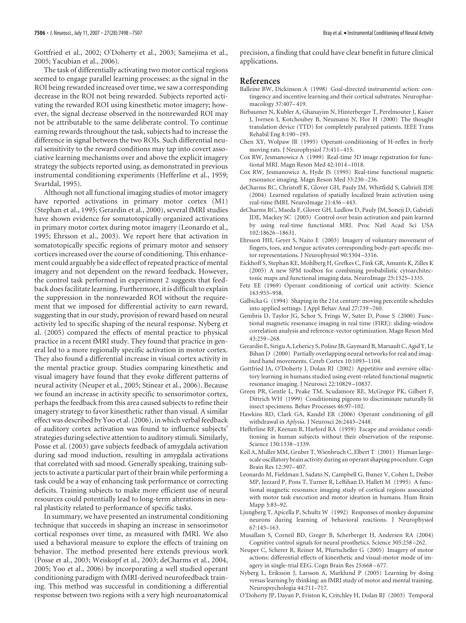Gottfried et al., 2002; O'Doherty et al., 2003; Samejima et al., 2005; Yacubian et al., 2006).

The task of differentially activating two motor cortical regions seemed to engage parallel learning processes: as the signal in the ROI being rewarded increased over time, we saw a corresponding decrease in the ROI not being rewarded. Subjects reported activating the rewarded ROI using kinesthetic motor imagery; however, the signal decrease observed in the nonrewarded ROI may not be attributable to the same deliberate control. To continue earning rewards throughout the task, subjects had to increase the difference in signal between the two ROIs. Such differential neural sensitivity to the reward conditions may tap into covert associative learning mechanisms over and above the explicit imagery strategy the subjects reported using, as demonstrated in previous instrumental conditioning experiments (Hefferline et al., 1959; Svartdal, 1995).

Although not all functional imaging studies of motor imagery have reported activations in primary motor cortex (M1) (Stephan et al., 1995; Gerardin et al., 2000), several fMRI studies have shown evidence for somatotopically organized activations in primary motor cortex during motor imagery (Leonardo et al., 1995; Ehrsson et al., 2003). We report here that activation in somatotopically specific regions of primary motor and sensory cortices increased over the course of conditioning. This enhancement could arguably be a side effect of repeated practice of mental imagery and not dependent on the reward feedback. However, the control task performed in experiment 2 suggests that feedback does facilitate learning. Furthermore, it is difficult to explain the suppression in the nonrewarded ROI without the requirement that we imposed for differential activity to earn reward, suggesting that in our study, provision of reward based on neural activity led to specific shaping of the neural response. Nyberg et al. (2005) compared the effects of mental practice to physical practice in a recent fMRI study. They found that practice in general led to a more regionally specific activation in motor cortex. They also found a differential increase in visual cortex activity in the mental practice group. Studies comparing kinesthetic and visual imagery have found that they evoke different patterns of neural activity (Neuper et al., 2005; Stinear et al., 2006). Because we found an increase in activity specific to sensorimotor cortex, perhaps the feedback from this area caused subjects to refine their imagery strategy to favor kinesthetic rather than visual. A similar effect was described by Yoo et al. (2006), in which verbal feedback of auditory cortex activation was found to influence subjects' strategies during selective attention to auditory stimuli. Similarly, Posse et al. (2003) gave subjects feedback of amygdala activation during sad mood induction, resulting in amygdala activations that correlated with sad mood. Generally speaking, training subjects to activate a particular part of their brain while performing a task could be a way of enhancing task performance or correcting deficits. Training subjects to make more efficient use of neural resources could potentially lead to long-term alterations in neural plasticity related to performance of specific tasks.

In summary, we have presented an instrumental conditioning technique that succeeds in shaping an increase in sensorimotor cortical responses over time, as measured with fMRI. We also used a behavioral measure to explore the effects of training on behavior. The method presented here extends previous work (Posse et al., 2003; Weiskopf et al., 2003; deCharms et al., 2004, 2005; Yoo et al., 2006) by incorporating a well studied operant conditioning paradigm with fMRI-derived neurofeedback training. This method was successful in conditioning a differential response between two regions with a very high neuroanatomical

precision, a finding that could have clear benefit in future clinical applications.

## **References**

- Balleine BW, Dickinson A (1998) Goal-directed instrumental action: contingency and incentive learning and their cortical substrates. Neuropharmacology 37:407–419.
- Birbaumer N, Kubler A, Ghanayim N, Hinterberger T, Perelmouter J, Kaiser J, Iversen I, Kotchoubey B, Neumann N, Flor H (2000) The thought translation device (TTD) for completely paralyzed patients. IEEE Trans Rehabil Eng 8:190 –193.
- Chen XY, Wolpaw JR (1995) Operant-conditioning of H-reflex in freely moving rats. J Neurophysiol 73:411–415.
- Cox RW, Jesmanowicz A (1999) Real-time 3D image registration for functional MRI. Magn Reson Med 42:1014 –1018.
- Cox RW, Jesmanowicz A, Hyde JS (1995) Real-time functional magnetic resonance imaging. Magn Reson Med 33:230 –236.
- deCharms RC, Christoff K, Glover GH, Pauly JM, Whitfield S, Gabrieli JDE (2004) Learned regulation of spatially localized brain activation using real-time fMRI. NeuroImage 21:436 –443.
- deCharms RC, Maeda F, Glover GH, Ludlow D, Pauly JM, Soneji D, Gabrieli JDE, Mackey SC (2005) Control over brain activation and pain learned by using real-time functional MRI. Proc Natl Acad Sci USA 102:18626 –18631.
- Ehrsson HH, Geyer S, Naito E (2003) Imagery of voluntary movement of fingers, toes, and tongue activates corresponding body-part-specific motor representations. J Neurophysiol 90:3304 –3316.
- Eickhoff S, Stephan KE, Mohlberg H, Grefkes C, Fink GR, Amunts K, Zilles K (2005) A new SPM toolbox for combining probabilistic cytoarchitectonic maps and functional imaging data. NeuroImage 25:1325–1335.
- Fetz EE (1969) Operant conditioning of cortical unit activity. Science 163:955–958.
- Galbicka G (1994) Shaping in the 21st century: moving percentile schedules into applied settings. J Appl Behav Anal 27:739 –760.
- Gembris D, Taylor JG, Schor S, Frings W, Suter D, Posse S (2000) Functional magnetic resonance imaging in real time (FIRE): sliding-window correlation analysis and reference-vector optimization. Magn Reson Med 43:259 –268.
- Gerardin E, Sirigu A, Lehericy S, Poline JB, Gaymard B, Marsault C, Agid Y, Le Bihan D (2000) Partially overlapping neural networks for real and imagined hand movements. Cereb Cortex 10:1093–1104.
- Gottfried JA, O'Doherty J, Dolan RJ (2002) Appetitive and aversive olfactory learning in humans studied using event-related functional magnetic resonance imaging. J Neurosci 22:10829 –10837.
- Green PR, Gentle L, Peake TM, Scudamore RE, McGregor PK, Gilbert F, Dittrich WH (1999) Conditioning pigeons to discriminate naturally lit insect specimens. Behav Processes 46:97–102.
- Hawkins RD, Clark GA, Kandel ER (2006) Operant conditioning of gill withdrawal in *Aplysia*. J Neurosci 26:2443–2448.
- Hefferline RF, Keenan B, Harford RA (1959) Escape and avoidance conditioning in human subjects without their observation of the response. Science 130:1338 –1339.
- Keil A, Muller MM, Gruber T, Wienbruch C, Elbert T (2001) Human largescale oscillatory brain activity during an operant shaping procedure. Cogn Brain Res 12:397–407.
- Leonardo M, Fieldman J, Sadato N, Campbell G, Ibanez V, Cohen L, Deiber MP, Jezzard P, Pons T, Turner R, LeBihan D, Hallett M (1995) A functional magnetic resonance imaging study of cortical regions associated with motor task execution and motor ideation in humans. Hum Brain Mapp 3:83–92.
- Ljungberg T, Apicella P, Schultz W (1992) Responses of monkey dopamine neurons during learning of behavioral reactions. J Neurophysiol 67:145–163.
- Musallam S, Corneil BD, Greger B, Scherberger H, Andersen RA (2004) Cognitive control signals for neural prosthetics. Science 305:258 –262.
- Neuper C, Scherer R, Reiner M, Pfurtscheller G (2005) Imagery of motor actions: differential effects of kinesthetic and visual-motor mode of imagery in single-trial EEG. Cogn Brain Res 25:668 –677.
- Nyberg L, Eriksson J, Larsson A, Marklund P (2005) Learning by doing versus learning by thinking: an fMRI study of motor and mental training. Neuropsychologia 44:711–717.
- O'Doherty JP, Dayan P, Friston K, Critchley H, Dolan RJ (2003) Temporal